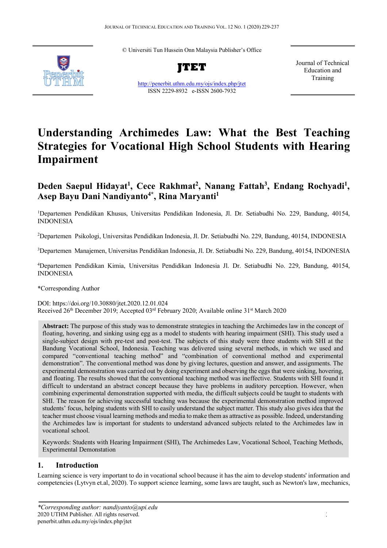© Universiti Tun Hussein Onn Malaysia Publisher's Office



**JTET**

http://penerbit.uthm.edu.my/ojs/index.php/jtet ISSN 2229-8932 e-ISSN 2600-7932

Journal of Technical Education and Training

# **Understanding Archimedes Law: What the Best Teaching Strategies for Vocational High School Students with Hearing Impairment**

# Deden Saepul Hidayat<sup>1</sup>, Cece Rakhmat<sup>2</sup>, Nanang Fattah<sup>3</sup>, Endang Rochyadi<sup>1</sup>, Asep Bayu Dani Nandiyanto<sup>4\*</sup>, Rina Maryanti<sup>1</sup>

1 Departemen Pendidikan Khusus, Universitas Pendidikan Indonesia, Jl. Dr. Setiabudhi No. 229, Bandung, 40154, INDONESIA

2 Departemen Psikologi, Universitas Pendidikan Indonesia, Jl. Dr. Setiabudhi No. 229, Bandung, 40154, INDONESIA

3 Departemen Manajemen, Universitas Pendidikan Indonesia, Jl. Dr. Setiabudhi No. 229, Bandung, 40154, INDONESIA

4 Departemen Pendidikan Kimia, Universitas Pendidikan Indonesia Jl. Dr. Setiabudhi No. 229, Bandung, 40154, INDONESIA

\*Corresponding Author

DOI: https://doi.org/10.30880/jtet.2020.12.01.024 Received 26<sup>th</sup> December 2019; Accepted 03<sup>rd</sup> February 2020; Available online 31<sup>st</sup> March 2020

**Abstract:** The purpose of this study was to demonstrate strategies in teaching the Archimedes law in the concept of floating, hovering, and sinking using egg as a model to students with hearing impairment (SHI). This study used a single-subject design with pre-test and post-test. The subjects of this study were three students with SHI at the Bandung Vocational School, Indonesia. Teaching was delivered using several methods, in which we used and compared "conventional teaching method" and "combination of conventional method and experimental demonstration". The conventional method was done by giving lectures, question and answer, and assignments. The experimental demonstration was carried out by doing experiment and observing the eggs that were sinking, hovering, and floating. The results showed that the conventional teaching method was ineffective. Students with SHI found it difficult to understand an abstract concept because they have problems in auditory perception. However, when combining experimental demonstration supported with media, the difficult subjects could be taught to students with SHI. The reason for achieving successful teaching was because the experimental demonstration method improved students' focus, helping students with SHI to easily understand the subject matter. This study also gives idea that the teacher must choose visual learning methods and media to make them as attractive as possible. Indeed, understanding the Archimedes law is important for students to understand advanced subjects related to the Archimedes law in vocational school.

Keywords: Students with Hearing Impairment (SHI), The Archimedes Law, Vocational School, Teaching Methods, Experimental Demonstation

# **1. Introduction**

Learning science is very important to do in vocational school because it has the aim to develop students' information and competencies (Lytvyn et.al, 2020). To support science learning, some laws are taught, such as Newton's law, mechanics,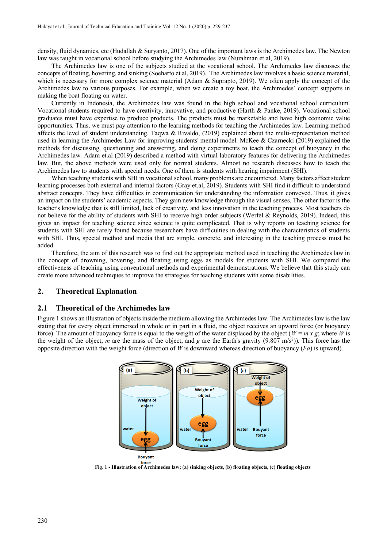density, fluid dynamics, etc (Hudallah & Suryanto, 2017). One of the important laws is the Archimedes law. The Newton law was taught in vocational school before studying the Archimedes law (Nurahman et.al, 2019).

The Archimedes law is one of the subjects studied at the vocational school. The Archimedes law discusses the concepts of floating, hovering, and sinking (Soeharto et.al, 2019). The Archimedes law involves a basic science material, which is necessary for more complex science material (Adam & Suprapto, 2019). We often apply the concept of the Archimedes law to various purposes. For example, when we create a toy boat, the Archimedes' concept supports in making the boat floating on water.

Currently in Indonesia, the Archimedes law was found in the high school and vocational school curriculum. Vocational students required to have creativity, innovative, and productive (Harth & Panke, 2019). Vocational school graduates must have expertise to produce products. The products must be marketable and have high economic value opportunities. Thus, we must pay attention to the learning methods for teaching the Archimedes law. Learning method affects the level of student understanding. Tagwa & Rivaldo,  $(2019)$  explained about the multi-representation method used in learning the Archimedes Law for improving students' mental model. McKee & Czarnecki (2019) explained the methods for discussing, questioning and answering, and doing experiments to teach the concept of buoyancy in the Archimedes law. Adam et.al (2019) described a method with virtual laboratory features for delivering the Archimedes law. But, the above methods were used only for normal students. Almost no research discusses how to teach the Archimedes law to students with special needs. One of them is students with hearing impairment (SHI).

When teaching students with SHI in vocational school, many problems are encountered. Many factors affect student learning processes both external and internal factors (Gray et.al, 2019). Students with SHI find it difficult to understand abstract concepts. They have difficulties in communication for understanding the information conveyed. Thus, it gives an impact on the students' academic aspects. They gain new knowledge through the visual senses. The other factor is the teacher's knowledge that is still limited, lack of creativity, and less innovation in the teaching process. Most teachers do not believe for the ability of students with SHI to receive high order subjects (Werfel & Reynolds, 2019). Indeed, this gives an impact for teaching science since science is quite complicated. That is why reports on teaching science for students with SHI are rarely found because researchers have difficulties in dealing with the characteristics of students with SHI. Thus, special method and media that are simple, concrete, and interesting in the teaching process must be added.

Therefore, the aim of this research was to find out the appropriate method used in teaching the Archimedes law in the concept of drowning, hovering, and floating using eggs as models for students with SHI. We compared the effectiveness of teaching using conventional methods and experimental demonstrations. We believe that this study can create more advanced techniques to improve the strategies for teaching students with some disabilities.

#### **2. Theoretical Explanation**

#### **2.1 Theoretical of the Archimedes law**

Figure 1 shows an illustration of objects inside the medium allowing the Archimedes law. The Archimedes law is the law stating that for every object immersed in whole or in part in a fluid, the object receives an upward force (or buoyancy force). The amount of buoyancy force is equal to the weight of the water displaced by the object ( $W = mx$  g; where *W* is the weight of the object, *m* are the mass of the object, and *g* are the Earth's gravity (9.807 m/s2 )). This force has the opposite direction with the weight force (direction of *W* is downward whereas direction of buoyancy (*Fa*) is upward).



**Fig. 1 - Illustration of Archimedes law; (a) sinking objects, (b) floating objects, (c) floating objects**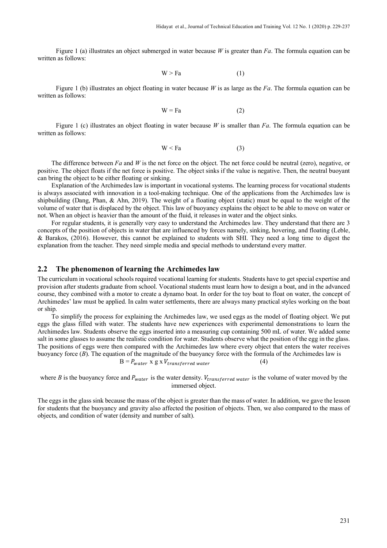Figure 1 (a) illustrates an object submerged in water because *W* is greater than *Fa*. The formula equation can be written as follows:

 $W > Fa$  (1)

Figure 1 (b) illustrates an object floating in water because *W* is as large as the *Fa*. The formula equation can be written as follows:

$$
W = Fa
$$
 (2)

Figure 1 (c) illustrates an object floating in water because *W* is smaller than *Fa*. The formula equation can be written as follows:

$$
W < Fa \tag{3}
$$

The difference between *Fa* and *W* is the net force on the object. The net force could be neutral (zero), negative, or positive. The object floats if the net force is positive. The object sinks if the value is negative. Then, the neutral buoyant can bring the object to be either floating or sinking.

Explanation of the Archimedes law is important in vocational systems. The learning process for vocational students is always associated with innovation in a tool-making technique. One of the applications from the Archimedes law is shipbuilding (Dang, Phan, & Ahn, 2019). The weight of a floating object (static) must be equal to the weight of the volume of water that is displaced by the object. This law of buoyancy explains the object to be able to move on water or not. When an object is heavier than the amount of the fluid, it releases in water and the object sinks.

For regular students, it is generally very easy to understand the Archimedes law. They understand that there are 3 concepts of the position of objects in water that are influenced by forces namely, sinking, hovering, and floating (Leble, & Barakos, (2016). However, this cannot be explained to students with SHI. They need a long time to digest the explanation from the teacher. They need simple media and special methods to understand every matter.

#### **2.2 The phenomenon of learning the Archimedes law**

The curriculum in vocational schools required vocational learning for students. Students have to get special expertise and provision after students graduate from school. Vocational students must learn how to design a boat, and in the advanced course, they combined with a motor to create a dynamo boat. In order for the toy boat to float on water, the concept of Archimedes' law must be applied. In calm water settlements, there are always many practical styles working on the boat or ship.

To simplify the process for explaining the Archimedes law, we used eggs as the model of floating object. We put eggs the glass filled with water. The students have new experiences with experimental demonstrations to learn the Archimedes law. Students observe the eggs inserted into a measuring cup containing 500 mL of water. We added some salt in some glasses to assume the realistic condition for water. Students observe what the position of the egg in the glass. The positions of eggs were then compared with the Archimedes law where every object that enters the water receives buoyancy force (*B*). The equation of the magnitude of the buoyancy force with the formula of the Archimedes law is

$$
B = P_{water} \times g \times V_{transferred\ water}
$$
 (4)

where *B* is the buoyancy force and  $P_{water}$  is the water density.  $V_{transfered water}$  is the volume of water moved by the immersed object.

The eggs in the glass sink because the mass of the object is greater than the mass of water. In addition, we gave the lesson for students that the buoyancy and gravity also affected the position of objects. Then, we also compared to the mass of objects, and condition of water (density and number of salt).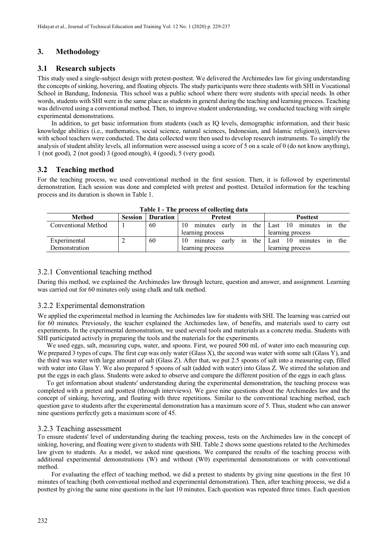# **3. Methodology**

# **3.1 Research subjects**

This study used a single-subject design with pretest-posttest. We delivered the Archimedes law for giving understanding the concepts of sinking, hovering, and floating objects. The study participants were three students with SHI in Vocational School in Bandung, Indonesia. This school was a public school where there were students with special needs. In other words, students with SHI were in the same place as students in general during the teaching and learning process. Teaching was delivered using a conventional method. Then, to improve student understanding, we conducted teaching with simple experimental demonstrations.

In addition, to get basic information from students (such as IQ levels, demographic information, and their basic knowledge abilities (i.e., mathematics, social science, natural sciences, Indonesian, and Islamic religion)), interviews with school teachers were conducted. The data collected were then used to develop research instruments. To simplify the analysis of student ability levels, all information were assessed using a score of 5 on a scale of 0 (do not know anything), 1 (not good), 2 (not good) 3 (good enough), 4 (good), 5 (very good).

# **3.2 Teaching method**

For the teaching process, we used conventional method in the first session. Then, it is followed by experimental demonstration. Each session was done and completed with pretest and posttest. Detailed information for the teaching process and its duration is shown in Table 1.

| THOICE THE DECESS OF CONCENTRE GRUP |                |                 |                                     |                                    |  |  |  |  |  |  |  |  |
|-------------------------------------|----------------|-----------------|-------------------------------------|------------------------------------|--|--|--|--|--|--|--|--|
| <b>Method</b>                       | <b>Session</b> | <b>Duration</b> | <b>Pretest</b>                      | <b>Posttest</b>                    |  |  |  |  |  |  |  |  |
| Conventional Method                 |                | 60              | 10<br>the<br>early<br>minutes<br>1n | the<br>10<br>minutes<br>Last<br>1n |  |  |  |  |  |  |  |  |
|                                     |                |                 | learning process                    | learning process                   |  |  |  |  |  |  |  |  |
| Experimental                        |                | 60              | the<br>10<br>early<br>minutes<br>1n | the<br>10<br>Last<br>minutes<br>1n |  |  |  |  |  |  |  |  |
| Demonstration                       |                |                 | learning process                    | learning process                   |  |  |  |  |  |  |  |  |

**Table 1 - The process of collecting data**

#### 3.2.1 Conventional teaching method

During this method, we explained the Archimedes law through lecture, question and answer, and assignment. Learning was carried out for 60 minutes only using chalk and talk method.

# 3.2.2 Experimental demonstration

We applied the experimental method in learning the Archimedes law for students with SHI. The learning was carried out for 60 minutes. Previously, the teacher explained the Archimedes law, of benefits, and materials used to carry out experiments. In the experimental demonstration, we used several tools and materials as a concrete media. Students with SHI participated actively in preparing the tools and the materials for the experiments.

We used eggs, salt, measuring cups, water, and spoons. First, we poured 500 mL of water into each measuring cup. We prepared 3 types of cups. The first cup was only water (Glass X), the second was water with some salt (Glass Y), and the third was water with large amount of salt (Glass Z). After that, we put 2.5 spoons of salt into a measuring cup, filled with water into Glass Y. We also prepared 5 spoons of salt (added with water) into Glass Z. We stirred the solution and put the eggs in each glass. Students were asked to observe and compare the different position of the eggs in each glass.

To get information about students' understanding during the experimental demonstration, the teaching process was completed with a pretest and posttest (through interviews). We gave nine questions about the Archimedes law and the concept of sinking, hovering, and floating with three repetitions. Similar to the conventional teaching method, each question gave to students after the experimental demonstration has a maximum score of 5. Thus, student who can answer nine questions perfectly gets a maximum score of 45.

#### 3.2.3 Teaching assessment

To ensure students' level of understanding during the teaching process, tests on the Archimedes law in the concept of sinking, hovering, and floating were given to students with SHI. Table 2 shows some questions related to the Archimedes law given to students. As a model, we asked nine questions. We compared the results of the teaching process with additional experimental demonstrations (W) and without (W0) experimental demonstrations or with conventional method.

For evaluating the effect of teaching method, we did a pretest to students by giving nine questions in the first 10 minutes of teaching (both conventional method and experimental demonstration). Then, after teaching process, we did a posttest by giving the same nine questions in the last 10 minutes. Each question was repeated three times. Each question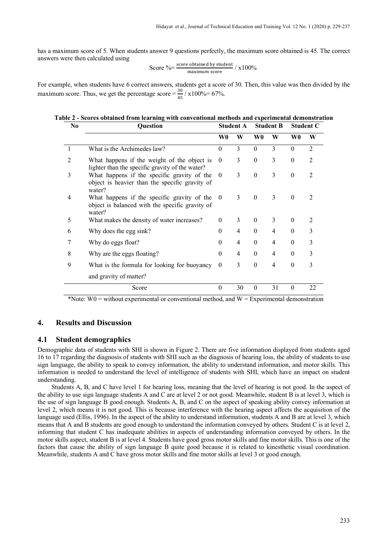has a maximum score of 5. When students answer 9 questions perfectly, the maximum score obtained is 45. The correct answers were then calculated using

Score 
$$
\% = \frac{\text{score obtained by student}}{\text{maximum score}} / x100\%
$$

For example, when students have 6 correct answers, students get a score of 30. Then, this value was then divided by the maximum score. Thus, we get the percentage score =  $\frac{30}{45}$  / x100%= 67%.

#### **Table 2 - Scores obtained from learning with conventional methods and experimental demonstration**

| No             | Question                                                                                                 |              | <b>Student A</b> |                  | <b>Student B</b> |          | <b>Student C</b> |  |
|----------------|----------------------------------------------------------------------------------------------------------|--------------|------------------|------------------|------------------|----------|------------------|--|
|                |                                                                                                          | W0           | W                | W0               | W                | W0       | W                |  |
|                | What is the Archimedes law?                                                                              |              | 3                | $\Omega$         | 3                | $\theta$ | $\overline{2}$   |  |
| $\overline{2}$ | What happens if the weight of the object is<br>lighter than the specific gravity of the water?           |              | 3                | $\boldsymbol{0}$ | 3                | $\theta$ | $\overline{2}$   |  |
| 3              | What happens if the specific gravity of the<br>object is heavier than the specific gravity of<br>water?  |              | 3                | $\mathbf{0}$     | 3                | $\theta$ | $\mathfrak{D}$   |  |
| 4              | What happens if the specific gravity of the<br>object is balanced with the specific gravity of<br>water? |              | 3                | $\theta$         | 3                | $\theta$ | 2                |  |
| 5              | What makes the density of water increases?                                                               |              | 3                | $\theta$         | 3                | $\theta$ | 2                |  |
| 6              | Why does the egg sink?                                                                                   |              | 4                | $\theta$         | 4                | $\theta$ | 3                |  |
|                | Why do eggs float?                                                                                       |              | 4                | $\mathbf{0}$     | 4                | $\theta$ | 3                |  |
| 8              | Why are the eggs floating?                                                                               |              | 4                | $\theta$         | 4                | $\theta$ | 3                |  |
| 9              | What is the formula for looking for buoyancy                                                             | $\mathbf{0}$ | 3                | $\theta$         | 4                | $\theta$ | 3                |  |
|                | and gravity of matter?                                                                                   |              |                  |                  |                  |          |                  |  |
|                | Score                                                                                                    |              | 30               | $\theta$         | 31               | $\theta$ | 22               |  |

\*Note:  $W0$  = without experimental or conventional method, and  $W =$  Experimental demonstration

#### **4. Results and Discussion**

#### **4.1 Student demographics**

Demographic data of students with SHI is shown in Figure 2. There are five information displayed from students aged 16 to 17 regarding the diagnosis of students with SHI such as the diagnosis of hearing loss, the ability of students to use sign language, the ability to speak to convey information, the ability to understand information, and motor skills. This information is needed to understand the level of intelligence of students with SHI, which have an impact on student understanding.

Students A, B, and C have level 1 for hearing loss, meaning that the level of hearing is not good. In the aspect of the ability to use sign language students A and C are at level 2 or not good. Meanwhile, student B is at level 3, which is the use of sign language B good enough. Students A, B, and C on the aspect of speaking ability convey information at level 2, which means it is not good. This is because interference with the hearing aspect affects the acquisition of the language used (Ellis, 1996). In the aspect of the ability to understand information, students A and B are at level 3, which means that A and B students are good enough to understand the information conveyed by others. Student C is at level 2, informing that student C has inadequate abilities in aspects of understanding information conveyed by others. In the motor skills aspect, student B is at level 4. Students have good gross motor skills and fine motor skills. This is one of the factors that cause the ability of sign language B quite good because it is related to kinesthetic visual coordination. Meanwhile, students A and C have gross motor skills and fine motor skills at level 3 or good enough.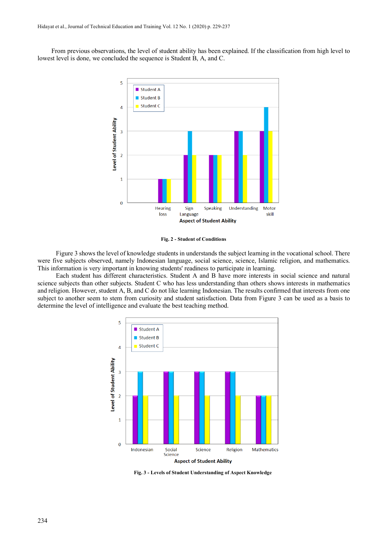From previous observations, the level of student ability has been explained. If the classification from high level to lowest level is done, we concluded the sequence is Student B, A, and C.



**Fig. 2 - Student of Conditions**

Figure 3 shows the level of knowledge students in understands the subject learning in the vocational school. There were five subjects observed, namely Indonesian language, social science, science, Islamic religion, and mathematics. This information is very important in knowing students' readiness to participate in learning.

Each student has different characteristics. Student A and B have more interests in social science and natural science subjects than other subjects. Student C who has less understanding than others shows interests in mathematics and religion. However, student A, B, and C do not like learning Indonesian. The results confirmed that interests from one subject to another seem to stem from curiosity and student satisfaction. Data from Figure 3 can be used as a basis to determine the level of intelligence and evaluate the best teaching method.



**Fig. 3 - Levels of Student Understanding of Aspect Knowledge**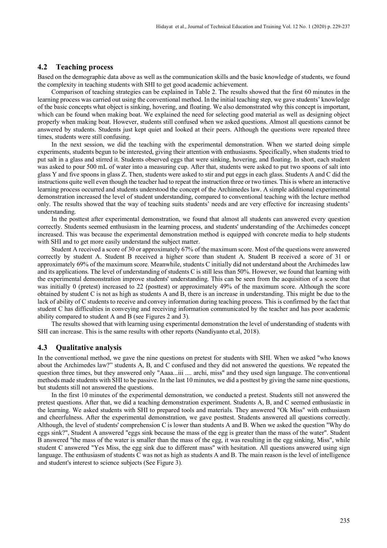#### **4.2 Teaching process**

Based on the demographic data above as well as the communication skills and the basic knowledge of students, we found the complexity in teaching students with SHI to get good academic achievement.

Comparison of teaching strategies can be explained in Table 2. The results showed that the first 60 minutes in the learning process was carried out using the conventional method. In the initial teaching step, we gave students' knowledge of the basic concepts what object is sinking, hovering, and floating. We also demonstrated why this concept is important, which can be found when making boat. We explained the need for selecting good material as well as designing object properly when making boat. However, students still confused when we asked questions. Almost all questions cannot be answered by students. Students just kept quiet and looked at their peers. Although the questions were repeated three times, students were still confusing.

In the next session, we did the teaching with the experimental demonstration. When we started doing simple experiments, students begun to be interested, giving their attention with enthusiasms. Specifically, when students tried to put salt in a glass and stirred it. Students observed eggs that were sinking, hovering, and floating. In short, each student was asked to pour 500 mL of water into a measuring cup. After that, students were asked to put two spoons of salt into glass Y and five spoons in glass Z. Then, students were asked to stir and put eggs in each glass. Students A and C did the instructions quite well even though the teacher had to repeat the instruction three or two times. This is where an interactive learning process occurred and students understood the concept of the Archimedes law. A simple additional experimental demonstration increased the level of student understanding, compared to conventional teaching with the lecture method only. The results showed that the way of teaching suits students' needs and are very effective for increasing students' understanding.

In the posttest after experimental demonstration, we found that almost all students can answered every question correctly. Students seemed enthusiasm in the learning process, and students' understanding of the Archimedes concept increased. This was because the experimental demonstration method is equipped with concrete media to help students with SHI and to get more easily understand the subject matter.

Student A received a score of 30 or approximately 67% of the maximum score. Most of the questions were answered correctly by student A. Student B received a higher score than student A. Student B received a score of 31 or approximately 69% of the maximum score. Meanwhile, students C initially did not understand about the Archimedes law and its applications. The level of understanding of students C is still less than 50%. However, we found that learning with the experimental demonstration improve students' understanding. This can be seen from the acquisition of a score that was initially 0 (pretest) increased to 22 (posttest) or approximately 49% of the maximum score. Although the score obtained by student C is not as high as students A and B, there is an increase in understanding. This might be due to the lack of ability of C students to receive and convey information during teaching process. This is confirmed by the fact that student C has difficulties in conveying and receiving information communicated by the teacher and has poor academic ability compared to student A and B (see Figures 2 and 3).

The results showed that with learning using experimental demonstration the level of understanding of students with SHI can increase. This is the same results with other reports (Nandiyanto et.al, 2018).

#### **4.3 Qualitative analysis**

In the conventional method, we gave the nine questions on pretest for students with SHI. When we asked "who knows about the Archimedes law?" students A, B, and C confused and they did not answered the questions. We repeated the question three times, but they answered only "Aaaa...iii .... archi, miss" and they used sign language. The conventional methods made students with SHI to be passive. In the last 10 minutes, we did a posttest by giving the same nine questions, but students still not answered the questions.

In the first 10 minutes of the experimental demonstration, we conducted a pretest. Students still not answered the pretest questions. After that, we did a teaching demonstration experiment. Students A, B, and C seemed enthusiastic in the learning. We asked students with SHI to prepared tools and materials. They answered "Ok Miss" with enthusiasm and cheerfulness. After the experimental demonstration, we gave posttest. Students answered all questions correctly. Although, the level of students' comprehension C is lower than students A and B. When we asked the question "Why do eggs sink?", Student A answered "eggs sink because the mass of the egg is greater than the mass of the water". Student B answered "the mass of the water is smaller than the mass of the egg, it was resulting in the egg sinking, Miss", while student C answered "Yes Miss, the egg sink due to different mass" with hesitation. All questions answered using sign language. The enthusiasm of students C was not as high as students A and B. The main reason is the level of intelligence and student's interest to science subjects (See Figure 3).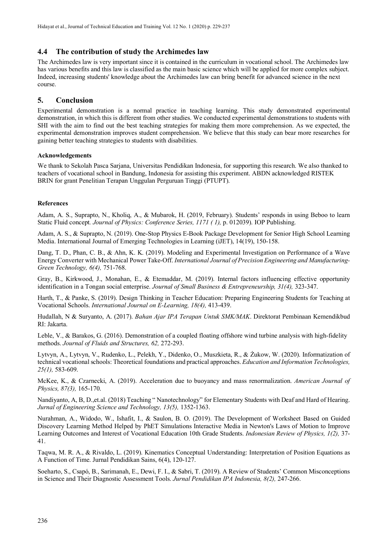# **4.4 The contribution of study the Archimedes law**

The Archimedes law is very important since it is contained in the curriculum in vocational school. The Archimedes law has various benefits and this law is classified as the main basic science which will be applied for more complex subject. Indeed, increasing students' knowledge about the Archimedes law can bring benefit for advanced science in the next course.

# **5. Conclusion**

Experimental demonstration is a normal practice in teaching learning. This study demonstrated experimental demonstration, in which this is different from other studies. We conducted experimental demonstrations to students with SHI with the aim to find out the best teaching strategies for making them more comprehension. As we expected, the experimental demonstration improves student comprehension. We believe that this study can bear more researches for gaining better teaching strategies to students with disabilities.

#### **Acknowledgements**

We thank to Sekolah Pasca Sarjana, Universitas Pendidikan Indonesia, for supporting this research. We also thanked to teachers of vocational school in Bandung, Indonesia for assisting this experiment. ABDN acknowledged RISTEK BRIN for grant Penelitian Terapan Unggulan Perguruan Tinggi (PTUPT).

#### **References**

Adam, A. S., Suprapto, N., Kholiq, A., & Mubarok, H. (2019, February). Students' responds in using Beboo to learn Static Fluid concept*. Journal of Physics: Conference Series, 1171 ( 1),* p. 012039). IOP Publishing.

Adam, A. S., & Suprapto, N. (2019). One-Stop Physics E-Book Package Development for Senior High School Learning Media. International Journal of Emerging Technologies in Learning (iJET), 14(19), 150-158.

Dang, T. D., Phan, C. B., & Ahn, K. K. (2019). Modeling and Experimental Investigation on Performance of a Wave Energy Converter with Mechanical Power Take-Off. *International Journal of Precision Engineering and Manufacturing-Green Technology, 6(4),* 751-768.

Gray, B., Kirkwood, J., Monahan, E., & Etemaddar, M. (2019). Internal factors influencing effective opportunity identification in a Tongan social enterprise. *Journal of Small Business & Entrepreneurship, 31(4),* 323-347.

Harth, T., & Panke, S. (2019). Design Thinking in Teacher Education: Preparing Engineering Students for Teaching at Vocational Schools. *International Journal on E-Learning, 18(4),* 413-439.

Hudallah, N & Suryanto, A. (2017). *Bahan Ajar IPA Terapan Untuk SMK/MAK*. Direktorat Pembinaan Kemendikbud RI: Jakarta.

Leble, V., & Barakos, G. (2016). Demonstration of a coupled floating offshore wind turbine analysis with high-fidelity methods. *Journal of Fluids and Structures, 62,* 272-293.

Lytvyn, A., Lytvyn, V., Rudenko, L., Pelekh, Y., Dіdenko, O., Muszkieta, R., & Żukow, W. (2020). Informatization of technical vocational schools: Theoretical foundations and practical approaches. *Education and Information Technologies, 25(1),* 583-609.

McKee, K., & Czarnecki, A. (2019). Acceleration due to buoyancy and mass renormalization. *American Journal of Physics, 87(3),* 165-170.

Nandiyanto, A, B, D.,et.al. (2018) Teaching " Nanotechnology" for Elementary Students with Deaf and Hard of Hearing. *Jurnal of Engineering Science and Technology, 13(5),* 1352-1363.

Nurahman, A., Widodo, W., Ishafit, I., & Saulon, B. O. (2019). The Development of Worksheet Based on Guided Discovery Learning Method Helped by PhET Simulations Interactive Media in Newton's Laws of Motion to Improve Learning Outcomes and Interest of Vocational Education 10th Grade Students. *Indonesian Review of Physics, 1(2),* 37- 41.

Taqwa, M. R. A., & Rivaldo, L. (2019). Kinematics Conceptual Understanding: Interpretation of Position Equations as A Function of Time. Jurnal Pendidikan Sains, 6(4), 120-127.

Soeharto, S., Csapó, B., Sarimanah, E., Dewi, F. I., & Sabri, T. (2019). A Review of Students' Common Misconceptions in Science and Their Diagnostic Assessment Tools. *Jurnal Pendidikan IPA Indonesia, 8(2),* 247-266.